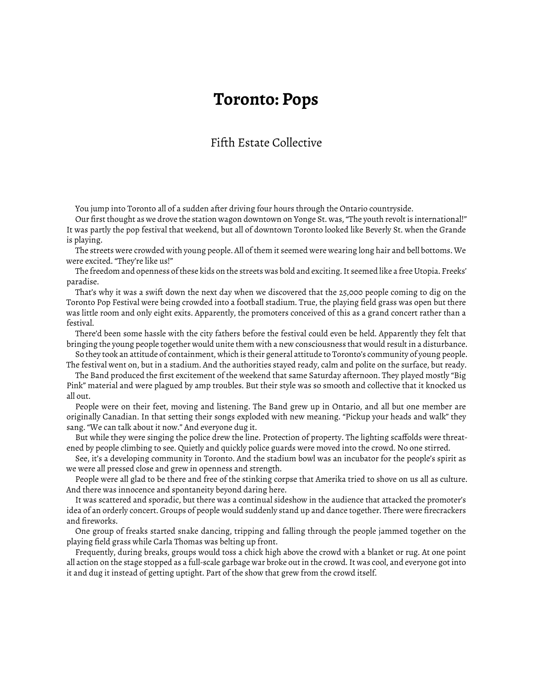## **Toronto: Pops**

## Fifth Estate Collective

You jump into Toronto all of a sudden after driving four hours through the Ontario countryside.

Our first thought as we drove the station wagon downtown on Yonge St. was, "The youth revolt is international!" It was partly the pop festival that weekend, but all of downtown Toronto looked like Beverly St. when the Grande is playing.

The streets were crowded with young people. All of them it seemed were wearing long hair and bell bottoms. We were excited. "They're like us!"

The freedom and openness of these kids on the streets was bold and exciting. It seemed like a free Utopia. Freeks' paradise.

That's why it was a swift down the next day when we discovered that the 25,000 people coming to dig on the Toronto Pop Festival were being crowded into a football stadium. True, the playing field grass was open but there was little room and only eight exits. Apparently, the promoters conceived of this as a grand concert rather than a festival.

There'd been some hassle with the city fathers before the festival could even be held. Apparently they felt that bringing the young people together would unite them with a new consciousness that would result in a disturbance.

So they took an attitude of containment, which is their general attitude to Toronto's community of young people. The festival went on, but in a stadium. And the authorities stayed ready, calm and polite on the surface, but ready.

The Band produced the first excitement of the weekend that same Saturday afternoon. They played mostly "Big Pink" material and were plagued by amp troubles. But their style was so smooth and collective that it knocked us all out.

People were on their feet, moving and listening. The Band grew up in Ontario, and all but one member are originally Canadian. In that setting their songs exploded with new meaning. "Pickup your heads and walk" they sang. "We can talk about it now." And everyone dug it.

But while they were singing the police drew the line. Protection of property. The lighting scaffolds were threatened by people climbing to see. Quietly and quickly police guards were moved into the crowd. No one stirred.

See, it's a developing community in Toronto. And the stadium bowl was an incubator for the people's spirit as we were all pressed close and grew in openness and strength.

People were all glad to be there and free of the stinking corpse that Amerika tried to shove on us all as culture. And there was innocence and spontaneity beyond daring here.

It was scattered and sporadic, but there was a continual sideshow in the audience that attacked the promoter's idea of an orderly concert. Groups of people would suddenly stand up and dance together. There were firecrackers and fireworks.

One group of freaks started snake dancing, tripping and falling through the people jammed together on the playing field grass while Carla Thomas was belting up front.

Frequently, during breaks, groups would toss a chick high above the crowd with a blanket or rug. At one point all action on the stage stopped as a full-scale garbage war broke out in the crowd. It was cool, and everyone got into it and dug it instead of getting uptight. Part of the show that grew from the crowd itself.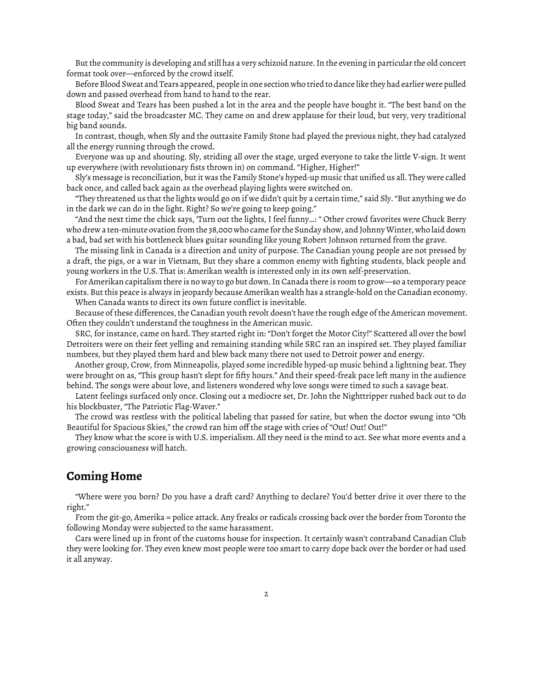But the community is developing and still has a very schizoid nature. In the evening in particular the old concert format took over—enforced by the crowd itself.

Before Blood Sweat and Tears appeared, people in one section who tried to dance like they had earlier were pulled down and passed overhead from hand to hand to the rear.

Blood Sweat and Tears has been pushed a lot in the area and the people have bought it. "The best band on the stage today," said the broadcaster MC. They came on and drew applause for their loud, but very, very traditional big band sounds.

In contrast, though, when Sly and the outtasite Family Stone had played the previous night, they had catalyzed all the energy running through the crowd.

Everyone was up and shouting. Sly, striding all over the stage, urged everyone to take the little V-sign. It went up everywhere (with revolutionary fists thrown in) on command. "Higher, Higher!"

Sly's message is reconciliation, but it was the Family Stone's hyped-up music that unified us all. They were called back once, and called back again as the overhead playing lights were switched on.

"They threatened us that the lights would go on if we didn't quit by a certain time," said Sly. "But anything we do in the dark we can do in the light. Right? So we're going to keep going."

"And the next time the chick says, 'Turn out the lights, I feel funny…: " Other crowd favorites were Chuck Berry who drew a ten-minute ovation from the 38,000 who came for the Sunday show, and Johnny Winter, who laid down a bad, bad set with his bottleneck blues guitar sounding like young Robert Johnson returned from the grave.

The missing link in Canada is a direction and unity of purpose. The Canadian young people are not pressed by a draft, the pigs, or a war in Vietnam, But they share a common enemy with fighting students, black people and young workers in the U.S. That is: Amerikan wealth is interested only in its own self-preservation.

For Amerikan capitalism there is no way to go but down. In Canada there is room to grow—so a temporary peace exists. But this peace is always in jeopardy because Amerikan wealth has a strangle-hold on the Canadian economy. When Canada wants to direct its own future conflict is inevitable.

Because of these differences, the Canadian youth revolt doesn't have the rough edge of the American movement. Often they couldn't understand the toughness in the American music.

SRC, for instance, came on hard. They started right in: "Don't forget the Motor City!" Scattered all over the bowl Detroiters were on their feet yelling and remaining standing while SRC ran an inspired set. They played familiar numbers, but they played them hard and blew back many there not used to Detroit power and energy.

Another group, Crow, from Minneapolis, played some incredible hyped-up music behind a lightning beat. They were brought on as, "This group hasn't slept for fifty hours." And their speed-freak pace left many in the audience behind. The songs were about love, and listeners wondered why love songs were timed to such a savage beat.

Latent feelings surfaced only once. Closing out a mediocre set, Dr. John the Nighttripper rushed back out to do his blockbuster, "The Patriotic Flag-Waver."

The crowd was restless with the political labeling that passed for satire, but when the doctor swung into "Oh Beautiful for Spacious Skies," the crowd ran him off the stage with cries of "Out! Out! Out!"

They know what the score is with U.S. imperialism. All they need is the mind to act. See what more events and a growing consciousness will hatch.

## **Coming Home**

"Where were you born? Do you have a draft card? Anything to declare? You'd better drive it over there to the right."

From the git-go, Amerika = police attack. Any freaks or radicals crossing back over the border from Toronto the following Monday were subjected to the same harassment.

Cars were lined up in front of the customs house for inspection. It certainly wasn't contraband Canadian Club they were looking for. They even knew most people were too smart to carry dope back over the border or had used it all anyway.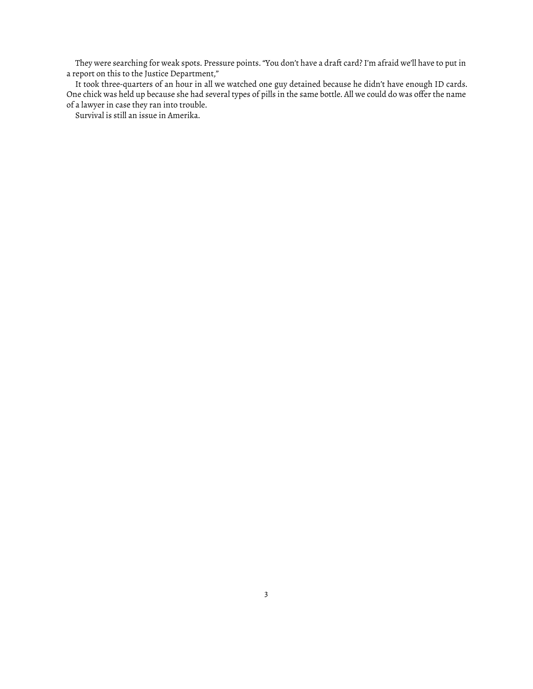They were searching for weak spots. Pressure points. "You don't have a draft card? I'm afraid we'll have to put in a report on this to the Justice Department,"

It took three-quarters of an hour in all we watched one guy detained because he didn't have enough ID cards. One chick was held up because she had several types of pills in the same bottle. All we could do was offer the name of a lawyer in case they ran into trouble.

Survival is still an issue in Amerika.